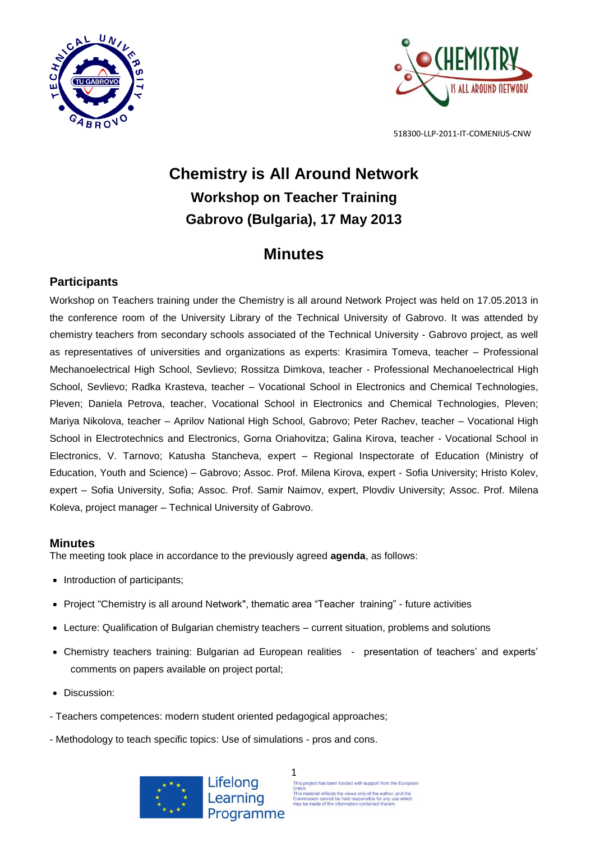



# **Chemistry is All Around Network Workshop on Teacher Training Gabrovo (Bulgaria), 17 May 2013**

## **Minutes**

## **Participants**

Workshop on Teachers training under the Chemistry is all around Network Project was held on 17.05.2013 in the conference room of the University Library of the Technical University of Gabrovo. It was attended by chemistry teachers from secondary schools associated of the Technical University - Gabrovo project, as well as representatives of universities and organizations as experts: Krasimira Tomeva, teacher – Professional Mechanoelectrical High School, Sevlievo; Rossitza Dimkova, teacher - Professional Mechanoelectrical High School, Sevlievo; Radka Krasteva, teacher – Vocational School in Electronics and Chemical Technologies, Pleven; Daniela Petrova, teacher, Vocational School in Electronics and Chemical Technologies, Pleven; Mariya Nikolova, teacher – Aprilov National High School, Gabrovo; Peter Rachev, teacher – Vocational High School in Electrotechnics and Electronics, Gorna Oriahovitza; Galina Kirova, teacher - Vocational School in Electronics, V. Tarnovo; Katusha Stancheva, expert – Regional Inspectorate of Education (Ministry of Education, Youth and Science) – Gabrovo; Assoc. Prof. Milena Kirova, expert - Sofia University; Hristo Kolev, expert – Sofia University, Sofia; Assoc. Prof. Samir Naimov, expert, Plovdiv University; Assoc. Prof. Milena Koleva, project manager – Technical University of Gabrovo.

### **Minutes**

The meeting took place in accordance to the previously agreed **agenda**, as follows:

- Introduction of participants;
- Project "Chemistry is all around Network", thematic area "Teacher training" future activities
- Lecture: Qualification of Bulgarian chemistry teachers current situation, problems and solutions
- Chemistry teachers training: Bulgarian ad European realities presentation of teachers' and experts' comments on papers available on project portal;
- Discussion:
- Teachers competences: modern student oriented pedagogical approaches;
- Methodology to teach specific topics: Use of simulations pros and cons.



1 This project has been funded with support from the European Union.<br>This material reflects the views only of the author, and the<br>Commission cannot be held responsible for any use whic<br>may be made of the information contained therein.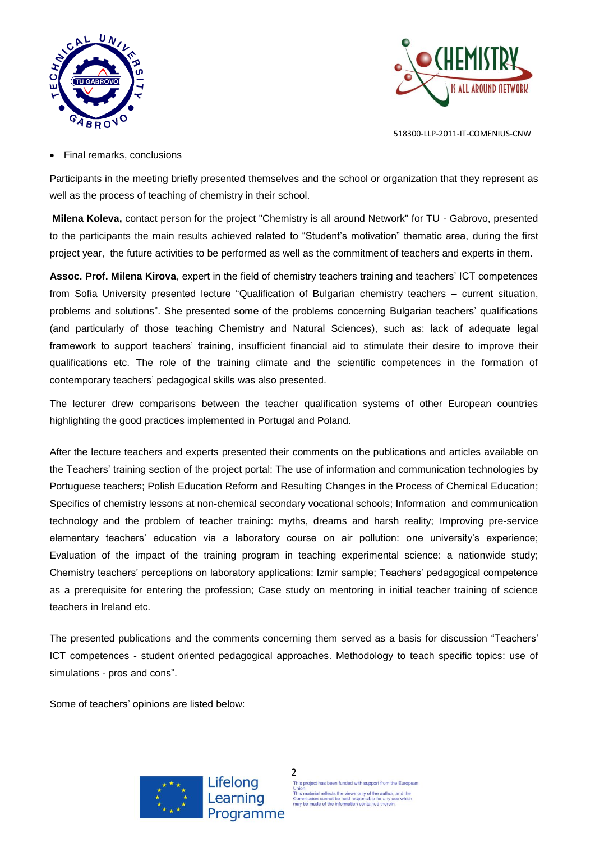



Final remarks, conclusions

Participants in the meeting briefly presented themselves and the school or organization that they represent as well as the process of teaching of chemistry in their school.

**Milena Koleva,** contact person for the project "Chemistry is all around Network" for TU - Gabrovo, presented to the participants the main results achieved related to "Student's motivation" thematic area, during the first project year, the future activities to be performed as well as the commitment of teachers and experts in them.

**Assoc. Prof. Milena Kirova**, expert in the field of chemistry teachers training and teachers' ICT competences from Sofia University presented lecture "Qualification of Bulgarian chemistry teachers – current situation, problems and solutions". She presented some of the problems concerning Bulgarian teachers' qualifications (and particularly of those teaching Chemistry and Natural Sciences), such as: lack of adequate legal framework to support teachers' training, insufficient financial aid to stimulate their desire to improve their qualifications etc. The role of the training climate and the scientific competences in the formation of contemporary teachers' pedagogical skills was also presented.

The lecturer drew comparisons between the teacher qualification systems of other European countries highlighting the good practices implemented in Portugal and Poland.

After the lecture teachers and experts presented their comments on the publications and articles available on the Teachers' training section of the project portal: The use of information and communication technologies by Portuguese teachers; Polish Education Reform and Resulting Changes in the Process of Chemical Education; Specifics of chemistry lessons at non-chemical secondary vocational schools; Information and communication technology and the problem of teacher training: myths, dreams and harsh reality; Improving pre-service elementary teachers' education via a laboratory course on air pollution: one university's experience; Evaluation of the impact of the training program in teaching experimental science: a nationwide study; Chemistry teachers' perceptions on laboratory applications: Izmir sample; Teachers' pedagogical competence as a prerequisite for entering the profession; Case study on mentoring in initial teacher training of science teachers in Ireland etc.

The presented publications and the comments concerning them served as a basis for discussion "Teachers' ICT competences - student oriented pedagogical approaches. Methodology to teach specific topics: use of simulations - pros and cons".

Some of teachers' opinions are listed below:

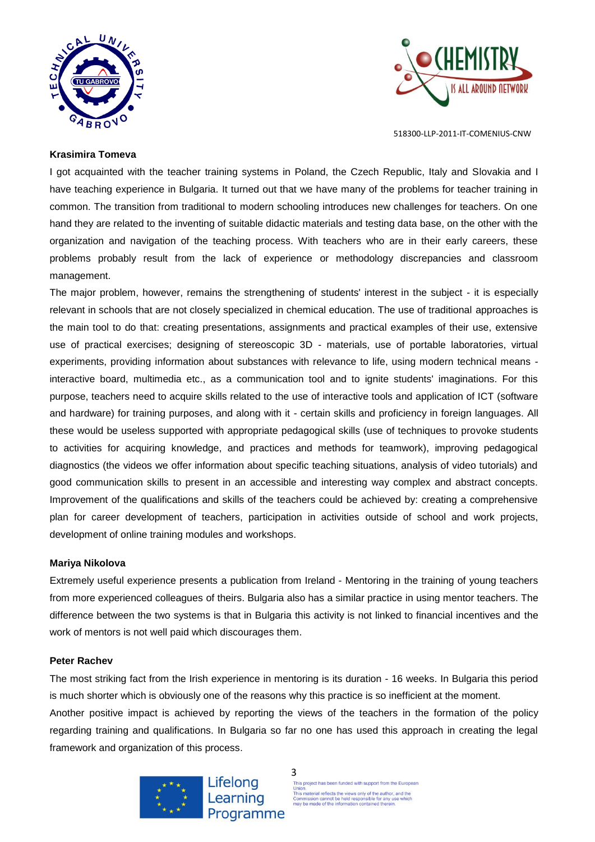



#### **Krasimira Tomeva**

I got acquainted with the teacher training systems in Poland, the Czech Republic, Italy and Slovakia and I have teaching experience in Bulgaria. It turned out that we have many of the problems for teacher training in common. The transition from traditional to modern schooling introduces new challenges for teachers. On one hand they are related to the inventing of suitable didactic materials and testing data base, on the other with the organization and navigation of the teaching process. With teachers who are in their early careers, these problems probably result from the lack of experience or methodology discrepancies and classroom management.

The major problem, however, remains the strengthening of students' interest in the subject - it is especially relevant in schools that are not closely specialized in chemical education. The use of traditional approaches is the main tool to do that: creating presentations, assignments and practical examples of their use, extensive use of practical exercises; designing of stereoscopic 3D - materials, use of portable laboratories, virtual experiments, providing information about substances with relevance to life, using modern technical means interactive board, multimedia etc., as a communication tool and to ignite students' imaginations. For this purpose, teachers need to acquire skills related to the use of interactive tools and application of ICT (software and hardware) for training purposes, and along with it - certain skills and proficiency in foreign languages. All these would be useless supported with appropriate pedagogical skills (use of techniques to provoke students to activities for acquiring knowledge, and practices and methods for teamwork), improving pedagogical diagnostics (the videos we offer information about specific teaching situations, analysis of video tutorials) and good communication skills to present in an accessible and interesting way complex and abstract concepts. Improvement of the qualifications and skills of the teachers could be achieved by: creating a comprehensive plan for career development of teachers, participation in activities outside of school and work projects, development of online training modules and workshops.

#### **Mariya Nikolova**

Extremely useful experience presents a publication from Ireland - Mentoring in the training of young teachers from more experienced colleagues of theirs. Bulgaria also has a similar practice in using mentor teachers. The difference between the two systems is that in Bulgaria this activity is not linked to financial incentives and the work of mentors is not well paid which discourages them.

#### **Peter Rachev**

The most striking fact from the Irish experience in mentoring is its duration - 16 weeks. In Bulgaria this period is much shorter which is obviously one of the reasons why this practice is so inefficient at the moment.

Another positive impact is achieved by reporting the views of the teachers in the formation of the policy regarding training and qualifications. In Bulgaria so far no one has used this approach in creating the legal framework and organization of this process.



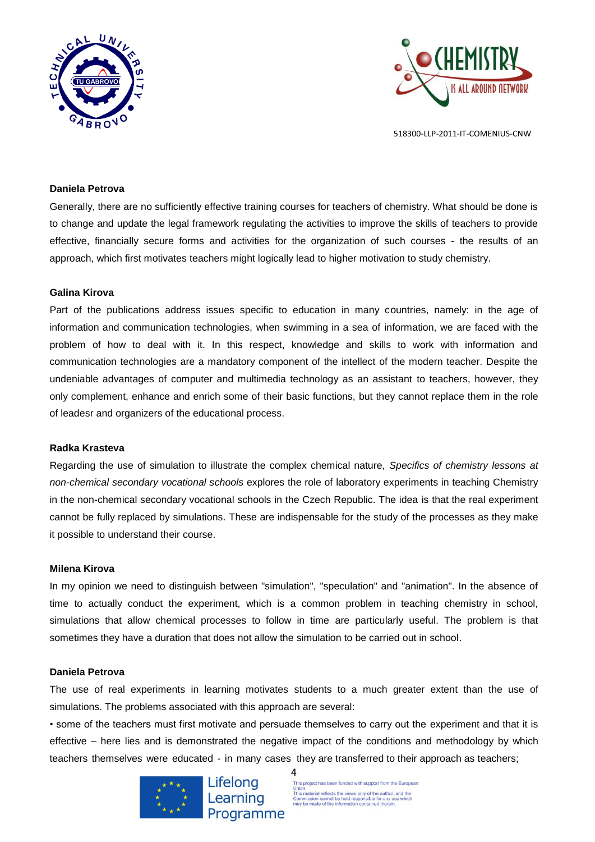



#### **Daniela Petrova**

Generally, there are no sufficiently effective training courses for teachers of chemistry. What should be done is to change and update the legal framework regulating the activities to improve the skills of teachers to provide effective, financially secure forms and activities for the organization of such courses - the results of an approach, which first motivates teachers might logically lead to higher motivation to study chemistry.

#### **Galina Kirova**

Part of the publications address issues specific to education in many countries, namely: in the age of information and communication technologies, when swimming in a sea of information, we are faced with the problem of how to deal with it. In this respect, knowledge and skills to work with information and communication technologies are a mandatory component of the intellect of the modern teacher. Despite the undeniable advantages of computer and multimedia technology as an assistant to teachers, however, they only complement, enhance and enrich some of their basic functions, but they cannot replace them in the role of leadesr and organizers of the educational process.

#### **Radka Krasteva**

Regarding the use of simulation to illustrate the complex chemical nature, *Specifics of chemistry lessons at non-chemical secondary vocational schools* explores the role of laboratory experiments in teaching Chemistry in the non-chemical secondary vocational schools in the Czech Republic. The idea is that the real experiment cannot be fully replaced by simulations. These are indispensable for the study of the processes as they make it possible to understand their course.

#### **Milena Kirova**

In my opinion we need to distinguish between "simulation", "speculation" and "animation". In the absence of time to actually conduct the experiment, which is a common problem in teaching chemistry in school, simulations that allow chemical processes to follow in time are particularly useful. The problem is that sometimes they have a duration that does not allow the simulation to be carried out in school.

#### **Daniela Petrova**

The use of real experiments in learning motivates students to a much greater extent than the use of simulations. The problems associated with this approach are several:

• some of the teachers must first motivate and persuade themselves to carry out the experiment and that it is effective – here lies and is demonstrated the negative impact of the conditions and methodology by which teachers themselves were educated - in many cases they are transferred to their approach as teachers;

4



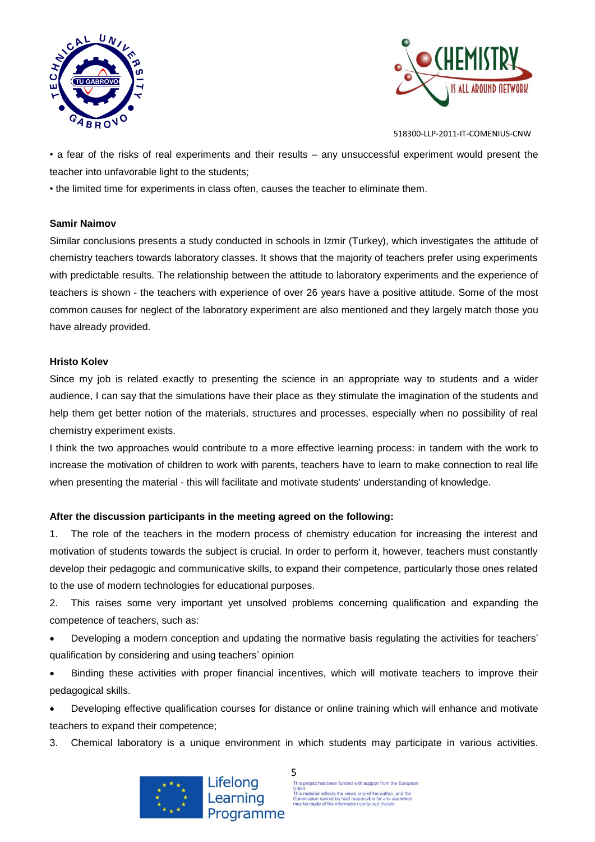



• a fear of the risks of real experiments and their results – any unsuccessful experiment would present the teacher into unfavorable light to the students;

• the limited time for experiments in class often, causes the teacher to eliminate them.

#### **Samir Naimov**

Similar conclusions presents a study conducted in schools in Izmir (Turkey), which investigates the attitude of chemistry teachers towards laboratory classes. It shows that the majority of teachers prefer using experiments with predictable results. The relationship between the attitude to laboratory experiments and the experience of teachers is shown - the teachers with experience of over 26 years have a positive attitude. Some of the most common causes for neglect of the laboratory experiment are also mentioned and they largely match those you have already provided.

#### **Hristo Kolev**

Since my job is related exactly to presenting the science in an appropriate way to students and a wider audience, I can say that the simulations have their place as they stimulate the imagination of the students and help them get better notion of the materials, structures and processes, especially when no possibility of real chemistry experiment exists.

I think the two approaches would contribute to a more effective learning process: in tandem with the work to increase the motivation of children to work with parents, teachers have to learn to make connection to real life when presenting the material - this will facilitate and motivate students' understanding of knowledge.

#### **After the discussion participants in the meeting agreed on the following:**

1. The role of the teachers in the modern process of chemistry education for increasing the interest and motivation of students towards the subject is crucial. In order to perform it, however, teachers must constantly develop their pedagogic and communicative skills, to expand their competence, particularly those ones related to the use of modern technologies for educational purposes.

2. This raises some very important yet unsolved problems concerning qualification and expanding the competence of teachers, such as:

 Developing a modern conception and updating the normative basis regulating the activities for teachers' qualification by considering and using teachers' opinion

 Binding these activities with proper financial incentives, which will motivate teachers to improve their pedagogical skills.

 Developing effective qualification courses for distance or online training which will enhance and motivate teachers to expand their competence;

3. Chemical laboratory is a unique environment in which students may participate in various activities.



5<br>This project has been funded with support from the European Union.<br>This material reflects the views only of the author, and the<br>Commission cannot be held responsible for any use whicl<br>may be made of the information contained therein.